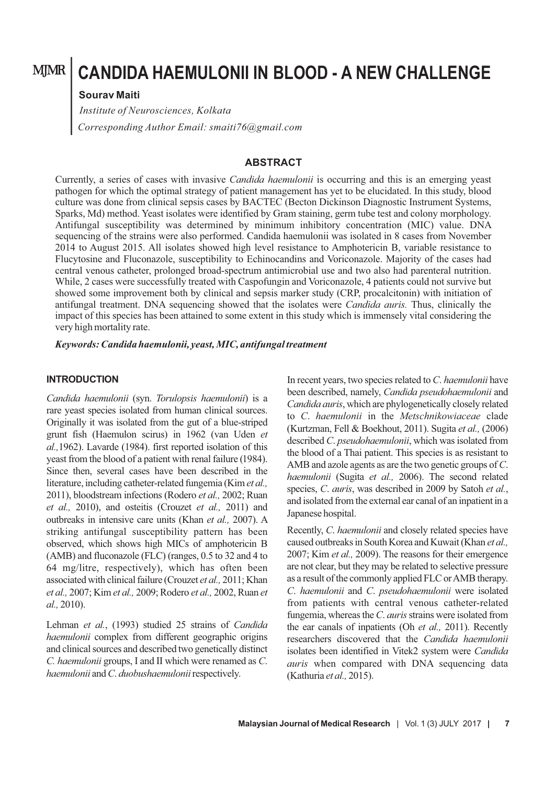# **CANDIDA HAEMULONII IN BLOOD - A NEW CHALLENGE**

#### **Sourav Maiti**

*Corresponding Author Email: smaiti76@gmail.com Institute of Neurosciences, Kolkata*

## **ABSTRACT**

Currently, a series of cases with invasive *Candida haemulonii* is occurring and this is an emerging yeast pathogen for which the optimal strategy of patient management has yet to be elucidated. In this study, blood culture was done from clinical sepsis cases by BACTEC (Becton Dickinson Diagnostic Instrument Systems, Sparks, Md) method. Yeast isolates were identified by Gram staining, germ tube test and colony morphology. Antifungal susceptibility was determined by minimum inhibitory concentration (MIC) value. DNA sequencing of the strains were also performed. Candida haemulonii was isolated in 8 cases from November 2014 to August 2015. All isolates showed high level resistance to Amphotericin B, variable resistance to Flucytosine and Fluconazole, susceptibility to Echinocandins and Voriconazole. Majority of the cases had central venous catheter, prolonged broad-spectrum antimicrobial use and two also had parenteral nutrition. While, 2 cases were successfully treated with Caspofungin and Voriconazole, 4 patients could not survive but showed some improvement both by clinical and sepsis marker study (CRP, procalcitonin) with initiation of antifungal treatment. DNA sequencing showed that the isolates were *Candida auris.* Thus, clinically the impact of this species has been attained to some extent in this study which is immensely vital considering the very high mortality rate.

*Keywords: Candida haemulonii, yeast, MIC, antifungal treatment*

#### **INTRODUCTION**

*Candida haemulonii* (syn. *Torulopsis haemulonii*) is a rare yeast species isolated from human clinical sources. Originally it was isolated from the gut of a blue-striped grunt fish (Haemulon scirus) in 1962 (van Uden *et al.,*1962). Lavarde (1984). first reported isolation of this yeast from the blood of a patient with renal failure (1984). Since then, several cases have been described in the literature, including catheter-related fungemia (Kim *et al.,* 2011), bloodstream infections (Rodero *et al.,* 2002; Ruan *et al.,* 2010), and osteitis (Crouzet *et al.,* 2011) and outbreaks in intensive care units (Khan *et al.,* 2007). A striking antifungal susceptibility pattern has been observed, which shows high MICs of amphotericin B (AMB) and fluconazole (FLC) (ranges, 0.5 to 32 and 4 to 64 mg/litre, respectively), which has often been associated with clinical failure (Crouzet *et al.,* 2011; Khan *et al.,* 2007; Kim *et al.,* 2009; Rodero *et al.,* 2002, Ruan *et al.,* 2010).

Lehman *et al.*, (1993) studied 25 strains of *Candida haemulonii* complex from different geographic origins and clinical sources and described two genetically distinct *C. haemulonii* groups, I and II which were renamed as *C*. *haemulonii* and *C*. *duobushaemulonii* respectively.

In recent years, two species related to *C*. *haemulonii* have been described, namely, *Candida pseudohaemulonii* and *Candida auris*, which are phylogenetically closely related to *C*. *haemulonii* in the *Metschnikowiaceae* clade (Kurtzman, Fell & Boekhout, 2011). Sugita *et al.,* (2006) described *C*. *pseudohaemulonii*, which was isolated from the blood of a Thai patient. This species is as resistant to AMB and azole agents as are the two genetic groups of *C*. *haemulonii* (Sugita *et al.,* 2006). The second related species, *C*. *auris*, was described in 2009 by Satoh *et al.*, and isolated from the external ear canal of an inpatient in a Japanese hospital.

Recently, *C*. *haemulonii* and closely related species have caused outbreaks in South Korea and Kuwait (Khan *et al.,* 2007; Kim *et al.,* 2009). The reasons for their emergence are not clear, but they may be related to selective pressure as a result of the commonly applied FLC or AMB therapy. *C*. *haemulonii* and *C*. *pseudohaemulonii* were isolated from patients with central venous catheter-related fungemia, whereas the *C*. *auris* strains were isolated from the ear canals of inpatients (Oh *et al.,* 2011). Recently researchers discovered that the *Candida haemulonii* isolates been identified in Vitek2 system were *Candida auris* when compared with DNA sequencing data (Kathuria *et al.,* 2015).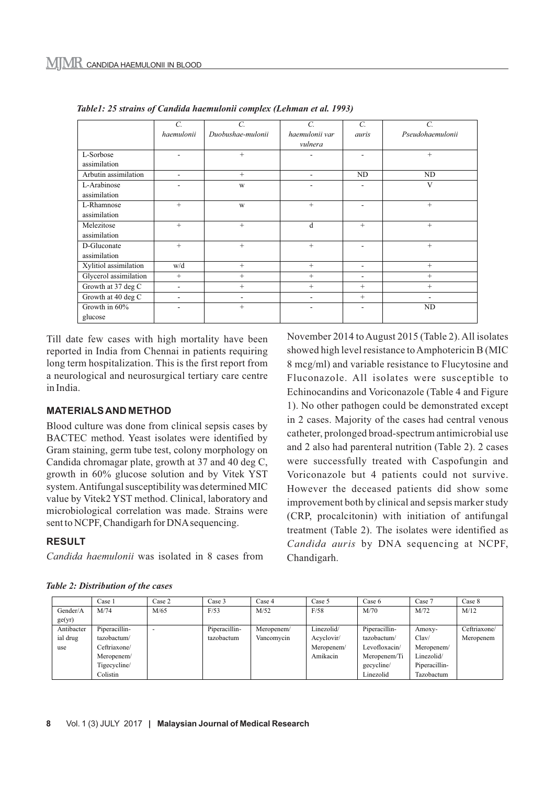|                       | $\overline{C}$ .         | C.                | $\overline{C}$ .         | $\overline{C}$ . | C.               |
|-----------------------|--------------------------|-------------------|--------------------------|------------------|------------------|
|                       | haemulonii               | Duobushae-mulonii | haemulonii var           | auris            | Pseudohaemulonii |
|                       |                          |                   | vulnera                  |                  |                  |
| L-Sorbose             |                          | $+$               |                          |                  | $+$              |
| assimilation          |                          |                   |                          |                  |                  |
| Arbutin assimilation  | $\overline{\phantom{a}}$ | $^{+}$            | $\overline{\phantom{a}}$ | ND               | ND               |
| L-Arabinose           | ۰                        | W                 | ٠                        |                  | V                |
| assimilation          |                          |                   |                          |                  |                  |
| L-Rhamnose            | $^{+}$                   | W                 | $^{+}$                   |                  | $^{+}$           |
| assimilation          |                          |                   |                          |                  |                  |
| Melezitose            | $+$                      | $+$               | d                        | $+$              | $+$              |
| assimilation          |                          |                   |                          |                  |                  |
| D-Gluconate           | $+$                      | $+$               | $^{+}$                   | ۰                | $+$              |
| assimilation          |                          |                   |                          |                  |                  |
| Xylitiol assimilation | w/d                      | $^{+}$            | $^{+}$                   | ۰                | $+$              |
| Glycerol assimilation | $^{+}$                   | $^{+}$            | $^{+}$                   |                  | $^{+}$           |
| Growth at 37 deg C    | ۰                        | $^{+}$            | $^{+}$                   | $^{+}$           | $+$              |
| Growth at 40 deg C    | ۰                        | $\blacksquare$    |                          | $+$              |                  |
| Growth in 60%         |                          | $^{+}$            |                          |                  | ND               |
| glucose               |                          |                   |                          |                  |                  |

*Table1: 25 strains of Candida haemulonii complex (Lehman et al. 1993)*

Till date few cases with high mortality have been reported in India from Chennai in patients requiring long term hospitalization. This is the first report from a neurological and neurosurgical tertiary care centre in India.

#### **MATERIALS AND METHOD**

Blood culture was done from clinical sepsis cases by BACTEC method. Yeast isolates were identified by Gram staining, germ tube test, colony morphology on Candida chromagar plate, growth at 37 and 40 deg C, growth in 60% glucose solution and by Vitek YST system. Antifungal susceptibility was determined MIC value by Vitek2 YST method. Clinical, laboratory and microbiological correlation was made. Strains were sent to NCPF, Chandigarh for DNA sequencing.

# **RESULT**

*Candida haemulonii* was isolated in 8 cases from

November 2014 to August 2015 (Table 2). All isolates showed high level resistance to Amphotericin B (MIC 8 mcg/ml) and variable resistance to Flucytosine and Fluconazole. All isolates were susceptible to Echinocandins and Voriconazole (Table 4 and Figure 1). No other pathogen could be demonstrated except in 2 cases. Majority of the cases had central venous catheter, prolonged broad-spectrum antimicrobial use and 2 also had parenteral nutrition (Table 2). 2 cases were successfully treated with Caspofungin and Voriconazole but 4 patients could not survive. However the deceased patients did show some improvement both by clinical and sepsis marker study (CRP, procalcitonin) with initiation of antifungal treatment (Table 2). The isolates were identified as *Candida auris* by DNA sequencing at NCPF, Chandigarh.

|                    | Case 1        | Case 2 | Case 3        | Case 4     | Case 5     | Case 6        | Case 7        | Case 8       |
|--------------------|---------------|--------|---------------|------------|------------|---------------|---------------|--------------|
| Gender/A<br>ge(yr) | M/74          | M/65   | F/53          | M/52       | F/58       | M/70          | M/72          | M/12         |
| Antibacter         | Piperacillin- |        | Piperacillin- | Meropenem/ | Linezolid/ | Piperacillin- | Amoxy-        | Ceftriaxone/ |
| ial drug           | tazobactum/   |        | tazobactum    | Vancomycin | Acyclovir/ | tazobactum/   | Clav/         | Meropenem    |
| use                | Ceftriaxone/  |        |               |            | Meropenem/ | Levofloxacin/ | Meropenem/    |              |
|                    | Meropenem/    |        |               |            | Amikacin   | Meropenem/Ti  | Linezolid/    |              |
|                    | Tigecycline/  |        |               |            |            | gecycline/    | Piperacillin- |              |
|                    | Colistin      |        |               |            |            | Linezolid     | Tazobactum    |              |

|  | <b>Table 2: Distribution of the cases</b> |  |  |
|--|-------------------------------------------|--|--|
|  |                                           |  |  |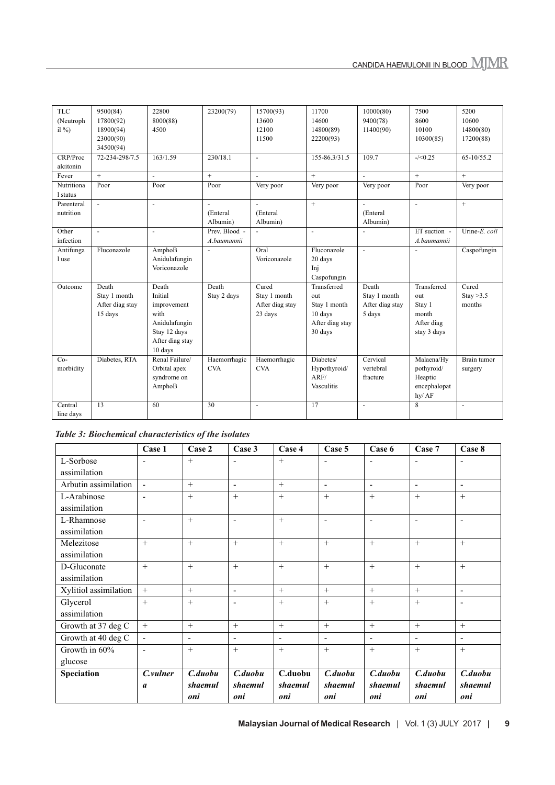| <b>TLC</b><br>(Neutroph<br>il % $\frac{9}{2}$ | 9500(84)<br>17800(92)<br>18900(94)<br>23000(90)<br>34500(94) | 22800<br>8000(88)<br>4500                                                                              | 23200(79)                    | 15700(93)<br>13600<br>12100<br>11500                | 11700<br>14600<br>14800(89)<br>22200(93)                                    | 10000(80)<br>9400(78)<br>11400(90)                 | 7500<br>8600<br>10100<br>10300(85)                                 | 5200<br>10600<br>14800(80)<br>17200(88) |
|-----------------------------------------------|--------------------------------------------------------------|--------------------------------------------------------------------------------------------------------|------------------------------|-----------------------------------------------------|-----------------------------------------------------------------------------|----------------------------------------------------|--------------------------------------------------------------------|-----------------------------------------|
| CRP/Proc<br>alcitonin                         | 72-234-298/7.5                                               | 163/1.59                                                                                               | 230/18.1                     | $\overline{\phantom{a}}$                            | 155-86.3/31.5                                                               | 109.7                                              | $-\frac{5}{0.25}$                                                  | 65-10/55.2                              |
| Fever                                         | $+$                                                          | $\overline{a}$                                                                                         | $\ddot{}$                    | $\overline{a}$                                      | $+$                                                                         | $\overline{a}$                                     | $+$                                                                | $+$                                     |
| Nutritiona<br>1 status                        | Poor                                                         | Poor                                                                                                   | Poor                         | Very poor                                           | Very poor                                                                   | Very poor                                          | Poor                                                               | Very poor                               |
| Parenteral<br>nutrition                       | $\mathbf{r}$                                                 | $\mathbf{r}$                                                                                           | ÷.<br>(Enteral<br>Albumin)   | $\overline{a}$<br>(Enteral<br>Albumin)              | $+$                                                                         | $\mathbf{r}$<br>(Enteral<br>Albumin)               | $\mathbf{r}$                                                       | $+$                                     |
| Other<br>infection                            | $\overline{\phantom{a}}$                                     | $\sim$                                                                                                 | Prev. Blood -<br>A.baumannii | $\blacksquare$                                      | $\blacksquare$                                                              | $\blacksquare$                                     | ET suction -<br>A.baumannii                                        | Urine-E. coli                           |
| Antifunga<br>1 use                            | Fluconazole                                                  | AmphoB<br>Anidulafungin<br>Voriconazole                                                                | $\overline{a}$               | Oral<br>Voriconazole                                | Fluconazole<br>20 days<br>Inj<br>Caspofungin                                | $\mathbf{r}$                                       | $\overline{\phantom{a}}$                                           | Caspofungin                             |
| Outcome                                       | Death<br>Stay 1 month<br>After diag stay<br>15 days          | Death<br>Initial<br>improvement<br>with<br>Anidulafungin<br>Stay 12 days<br>After diag stay<br>10 days | Death<br>Stay 2 days         | Cured<br>Stay 1 month<br>After diag stay<br>23 days | Transferred<br>out<br>Stay 1 month<br>10 days<br>After diag stay<br>30 days | Death<br>Stay 1 month<br>After diag stay<br>5 days | Transferred<br>out<br>Stay 1<br>month<br>After diag<br>stay 3 days | Cured<br>Stay $>3.5$<br>months          |
| $Co-$<br>morbidity                            | Diabetes, RTA                                                | Renal Failure/<br>Orbital apex<br>syndrome on<br>AmphoB                                                | Haemorrhagic<br><b>CVA</b>   | Haemorrhagic<br><b>CVA</b>                          | Diabetes/<br>Hypothyroid/<br>ARF/<br>Vasculitis                             | Cervical<br>vertebral<br>fracture                  | Malaena/Hv<br>pothyroid/<br>Heaptic<br>encephalopat<br>hy/AF       | Brain tumor<br>surgery                  |
| Central<br>line days                          | 13                                                           | 60                                                                                                     | 30                           | $\blacksquare$                                      | 17                                                                          | $\sim$                                             | 8                                                                  | $\blacksquare$                          |

*Table 3: Biochemical characteristics of the isolates*

|                       | Case 1                   | Case 2                   | Case 3                   | Case 4                   | Case 5                   | Case 6                   | Case 7                   | Case 8                   |
|-----------------------|--------------------------|--------------------------|--------------------------|--------------------------|--------------------------|--------------------------|--------------------------|--------------------------|
| L-Sorbose             | $\overline{a}$           | $+$                      | $\blacksquare$           | $+$                      | $\overline{a}$           | $\overline{a}$           | $\blacksquare$           | $\blacksquare$           |
| assimilation          |                          |                          |                          |                          |                          |                          |                          |                          |
| Arbutin assimilation  | $\mathbf{r}$             | $+$                      | $\overline{\phantom{a}}$ | $+$                      | $\overline{\phantom{a}}$ | $\blacksquare$           | $\blacksquare$           | $\sim$                   |
| L-Arabinose           | $\overline{a}$           | $+$                      | $+$                      | $+$                      | $+$                      | $+$                      | $+$                      | $+$                      |
| assimilation          |                          |                          |                          |                          |                          |                          |                          |                          |
| L-Rhamnose            | $\blacksquare$           | $+$                      | $\overline{\phantom{a}}$ | $+$                      | $\blacksquare$           | $\overline{\phantom{a}}$ | $\overline{\phantom{a}}$ | $\overline{\phantom{a}}$ |
| assimilation          |                          |                          |                          |                          |                          |                          |                          |                          |
| Melezitose            | $+$                      | $+$                      | $^{+}$                   | $+$                      | $+$                      | $+$                      | $+$                      | $^{+}$                   |
| assimilation          |                          |                          |                          |                          |                          |                          |                          |                          |
| D-Gluconate           | $+$                      | $+$                      | $+$                      | $+$                      | $+$                      | $+$                      | $+$                      | $+$                      |
| assimilation          |                          |                          |                          |                          |                          |                          |                          |                          |
| Xylitiol assimilation | $+$                      | $+$                      | $\overline{\phantom{a}}$ | $+$                      | $+$                      | $+$                      | $+$                      | $\blacksquare$           |
| Glycerol              | $+$                      | $+$                      | $\overline{\phantom{a}}$ | $+$                      | $+$                      | $+$                      | $+$                      | $\overline{\phantom{a}}$ |
| assimilation          |                          |                          |                          |                          |                          |                          |                          |                          |
| Growth at 37 deg C    | $+$                      | $+$                      | $+$                      | $+$                      | $+$                      | $+$                      | $+$                      | $+$                      |
| Growth at 40 deg C    | $\overline{\phantom{a}}$ | $\overline{\phantom{a}}$ | $\overline{\phantom{a}}$ | $\overline{\phantom{a}}$ | $\overline{\phantom{a}}$ | $\blacksquare$           | $\overline{\phantom{a}}$ | $\overline{\phantom{a}}$ |
| Growth in 60%         | $\blacksquare$           | $+$                      | $+$                      | $+$                      | $+$                      | $+$                      | $+$                      | $+$                      |
| glucose               |                          |                          |                          |                          |                          |                          |                          |                          |
| Speciation            | C.vulner                 | C.duobu                  | C.duobu                  | C.duobu                  | C.duobu                  | C.duobu                  | C.duobu                  | C.duobu                  |
|                       | $\boldsymbol{a}$         | shaemul<br>oni           | shaemul<br>oni           | shaemul<br>oni           | shaemul<br>oni           | shaemul<br>oni           | shaemul<br>oni           | shaemul<br>oni           |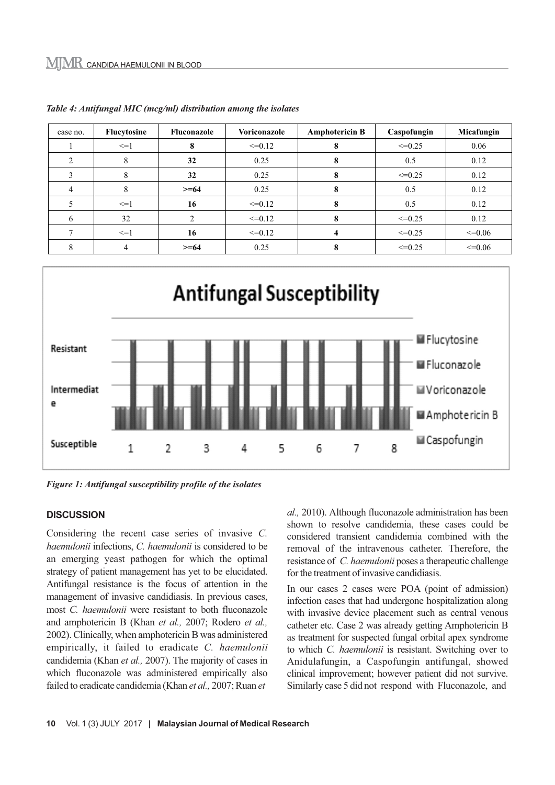| case no. | Flucytosine | Fluconazole | Voriconazole | <b>Amphotericin B</b> | Caspofungin | Micafungin  |
|----------|-------------|-------------|--------------|-----------------------|-------------|-------------|
|          | $\leq$ -1   |             | $\leq=0.12$  |                       | $\leq=0.25$ | 0.06        |
|          | 8           | 32          | 0.25         | 8                     | 0.5         | 0.12        |
|          | 8           | 32          | 0.25         |                       | $\leq=0.25$ | 0.12        |
|          | 8           | $>= 64$     | 0.25         |                       | 0.5         | 0.12        |
|          | $\leq$ -1   | 16          | $\leq=0.12$  | 8                     | 0.5         | 0.12        |
| h        | 32          |             | $\leq=0.12$  | 8                     | $\leq=0.25$ | 0.12        |
|          | $\leq$ -1   | 16          | $\leq=0.12$  | 4                     | $\leq=0.25$ | $\leq=0.06$ |
| 8        | 4           | $>= 64$     | 0.25         | x                     | $\leq=0.25$ | $\leq=0.06$ |

*Table 4: Antifungal MIC (mcg/ml) distribution among the isolates*



*Figure 1: Antifungal susceptibility profile of the isolates*

#### **DISCUSSION**

Considering the recent case series of invasive *C. haemulonii* infections, *C. haemulonii* is considered to be an emerging yeast pathogen for which the optimal strategy of patient management has yet to be elucidated. Antifungal resistance is the focus of attention in the management of invasive candidiasis. In previous cases, most *C. haemulonii* were resistant to both fluconazole and amphotericin B (Khan *et al.,* 2007; Rodero *et al.,* 2002). Clinically, when amphotericin B was administered empirically, it failed to eradicate *C. haemulonii* candidemia (Khan *et al.,* 2007). The majority of cases in which fluconazole was administered empirically also failed to eradicate candidemia (Khan *et al.,* 2007; Ruan *et* 

*al.,* 2010). Although fluconazole administration has been shown to resolve candidemia, these cases could be considered transient candidemia combined with the removal of the intravenous catheter. Therefore, the resistance of *C. haemulonii* poses a therapeutic challenge for the treatment of invasive candidiasis.

In our cases 2 cases were POA (point of admission) infection cases that had undergone hospitalization along with invasive device placement such as central venous catheter etc. Case 2 was already getting Amphotericin B as treatment for suspected fungal orbital apex syndrome to which *C. haemulonii* is resistant. Switching over to Anidulafungin, a Caspofungin antifungal, showed clinical improvement; however patient did not survive. Similarly case 5 did not respond with Fluconazole, and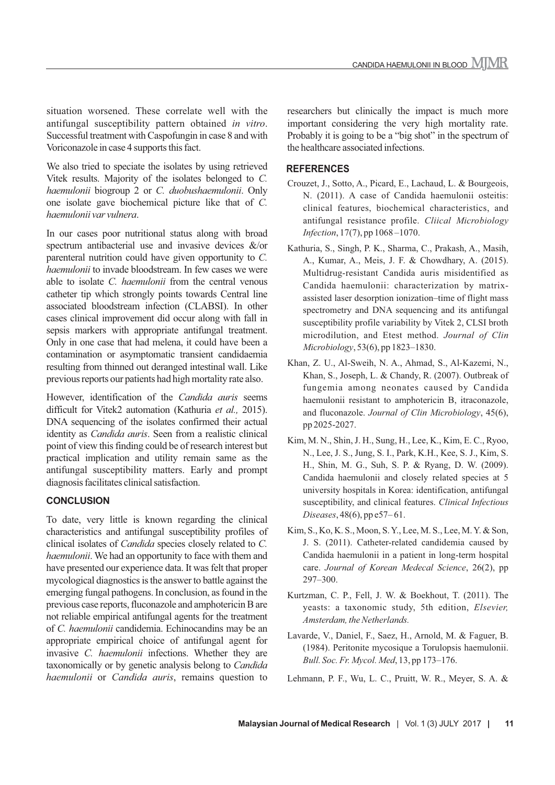situation worsened. These correlate well with the antifungal susceptibility pattern obtained *in vitro*. Successful treatment with Caspofungin in case 8 and with Voriconazole in case 4 supports this fact.

We also tried to speciate the isolates by using retrieved Vitek results. Majority of the isolates belonged to *C. haemulonii* biogroup 2 or *C. duobushaemulonii*. Only one isolate gave biochemical picture like that of *C. haemulonii var vulnera*.

In our cases poor nutritional status along with broad spectrum antibacterial use and invasive devices &/or parenteral nutrition could have given opportunity to *C. haemulonii* to invade bloodstream. In few cases we were able to isolate *C. haemulonii* from the central venous catheter tip which strongly points towards Central line associated bloodstream infection (CLABSI). In other cases clinical improvement did occur along with fall in sepsis markers with appropriate antifungal treatment. Only in one case that had melena, it could have been a contamination or asymptomatic transient candidaemia resulting from thinned out deranged intestinal wall. Like previous reports our patients had high mortality rate also.

However, identification of the *Candida auris* seems difficult for Vitek2 automation (Kathuria *et al.,* 2015). DNA sequencing of the isolates confirmed their actual identity as *Candida auris*. Seen from a realistic clinical point of view this finding could be of research interest but practical implication and utility remain same as the antifungal susceptibility matters. Early and prompt diagnosis facilitates clinical satisfaction.

# **CONCLUSION**

To date, very little is known regarding the clinical characteristics and antifungal susceptibility profiles of clinical isolates of *Candida* species closely related to *C. haemulonii*. We had an opportunity to face with them and have presented our experience data. It was felt that proper mycological diagnostics is the answer to battle against the emerging fungal pathogens. In conclusion, as found in the previous case reports, fluconazole and amphotericin B are not reliable empirical antifungal agents for the treatment of *C. haemulonii* candidemia. Echinocandins may be an appropriate empirical choice of antifungal agent for invasive *C. haemulonii* infections. Whether they are taxonomically or by genetic analysis belong to *Candida haemulonii* or *Candida auris*, remains question to

researchers but clinically the impact is much more important considering the very high mortality rate. Probably it is going to be a "big shot" in the spectrum of the healthcare associated infections.

### **REFERENCES**

- Crouzet, J., Sotto, A., Picard, E., Lachaud, L. & Bourgeois, N. (2011). A case of Candida haemulonii osteitis: clinical features, biochemical characteristics, and antifungal resistance profile. *Cliical Microbiology Infection*, 17(7), pp 1068 –1070.
- Kathuria, S., Singh, P. K., Sharma, C., Prakash, A., Masih, A., Kumar, A., Meis, J. F. & Chowdhary, A. (2015). Multidrug-resistant Candida auris misidentified as Candida haemulonii: characterization by matrixassisted laser desorption ionization–time of flight mass spectrometry and DNA sequencing and its antifungal susceptibility profile variability by Vitek 2, CLSI broth microdilution, and Etest method. *Journal of Clin Microbiology*, 53(6), pp 1823–1830.
- Khan, Z. U., Al-Sweih, N. A., Ahmad, S., Al-Kazemi, N., Khan, S., Joseph, L. & Chandy, R. (2007). Outbreak of fungemia among neonates caused by Candida haemulonii resistant to amphotericin B, itraconazole, and fluconazole. *Journal of Clin Microbiology*, 45(6), pp 2025-2027.
- Kim, M. N., Shin, J. H., Sung, H., Lee, K., Kim, E. C., Ryoo, N., Lee, J. S., Jung, S. I., Park, K.H., Kee, S. J., Kim, S. H., Shin, M. G., Suh, S. P. & Ryang, D. W. (2009). Candida haemulonii and closely related species at 5 university hospitals in Korea: identification, antifungal susceptibility, and clinical features. *Clinical Infectious Diseases*, 48(6), pp e57–61.
- Kim, S., Ko, K. S., Moon, S. Y., Lee, M. S., Lee, M. Y. & Son, J. S. (2011). Catheter-related candidemia caused by Candida haemulonii in a patient in long-term hospital care. *Journal of Korean Medecal Science*, 26(2), pp 297–300.
- Kurtzman, C. P., Fell, J. W. & Boekhout, T. (2011). The yeasts: a taxonomic study, 5th edition, *Elsevier, Amsterdam, the Netherlands.*
- Lavarde, V., Daniel, F., Saez, H., Arnold, M. & Faguer, B. (1984). Peritonite mycosique a Torulopsis haemulonii. *Bull. Soc. Fr. Mycol. Med*, 13, pp 173–176.
- Lehmann, P. F., Wu, L. C., Pruitt, W. R., Meyer, S. A. &